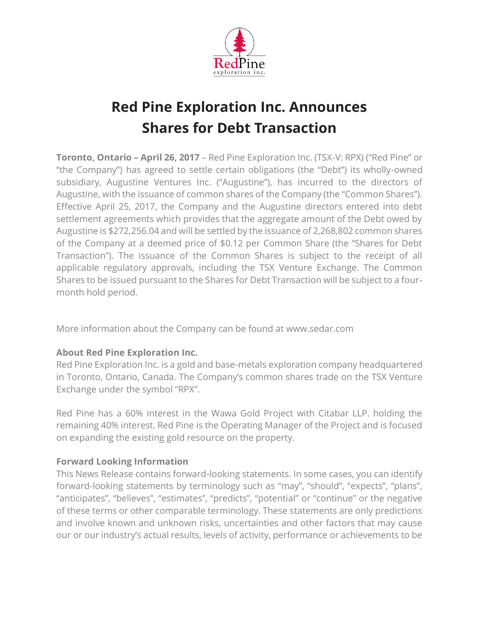

## **Red Pine Exploration Inc. Announces Shares for Debt Transaction**

**Toronto, Ontario – April 26, 2017** – Red Pine Exploration Inc. (TSX-V: RPX) ("Red Pine" or "the Company") has agreed to settle certain obligations (the "Debt") its wholly-owned subsidiary, Augustine Ventures Inc. ("Augustine"), has incurred to the directors of Augustine, with the issuance of common shares of the Company (the "Common Shares"). Effective April 25, 2017, the Company and the Augustine directors entered into debt settlement agreements which provides that the aggregate amount of the Debt owed by Augustine is \$272,256.04 and will be settled by the issuance of 2,268,802 common shares of the Company at a deemed price of \$0.12 per Common Share (the "Shares for Debt Transaction"). The issuance of the Common Shares is subject to the receipt of all applicable regulatory approvals, including the TSX Venture Exchange. The Common Shares to be issued pursuant to the Shares for Debt Transaction will be subject to a fourmonth hold period.

More information about the Company can be found at www.sedar.com

## **About Red Pine Exploration Inc.**

Red Pine Exploration Inc. is a gold and base-metals exploration company headquartered in Toronto, Ontario, Canada. The Company's common shares trade on the TSX Venture Exchange under the symbol "RPX".

Red Pine has a 60% interest in the Wawa Gold Project with Citabar LLP. holding the remaining 40% interest. Red Pine is the Operating Manager of the Project and is focused on expanding the existing gold resource on the property.

## **Forward Looking Information**

This News Release contains forward-looking statements. In some cases, you can identify forward-looking statements by terminology such as "may", "should", "expects", "plans", "anticipates", "believes", "estimates", "predicts", "potential" or "continue" or the negative of these terms or other comparable terminology. These statements are only predictions and involve known and unknown risks, uncertainties and other factors that may cause our or our industry's actual results, levels of activity, performance or achievements to be